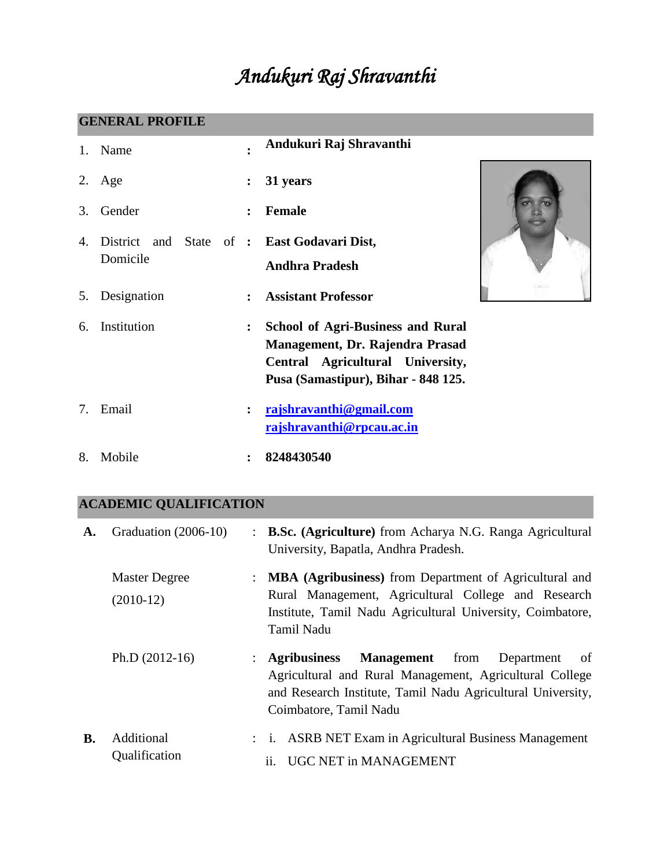# *Andukuri Raj Shravanthi*

## **GENERAL PROFILE**

|    | 1. Name                                                 |                      | Andukuri Raj Shravanthi                                                                                                                                |
|----|---------------------------------------------------------|----------------------|--------------------------------------------------------------------------------------------------------------------------------------------------------|
| 2. | Age                                                     | $\ddot{\cdot}$       | 31 years                                                                                                                                               |
| 3. | Gender                                                  | $\ddot{\phantom{a}}$ | <b>Female</b>                                                                                                                                          |
| 4. | District and State of : East Godavari Dist,<br>Domicile |                      | <b>Andhra Pradesh</b>                                                                                                                                  |
| 5. | Designation                                             | $\ddot{\phantom{a}}$ | 528555<br><b>Assistant Professor</b>                                                                                                                   |
| 6. | Institution                                             | $\ddot{\cdot}$       | <b>School of Agri-Business and Rural</b><br>Management, Dr. Rajendra Prasad<br>Central Agricultural University,<br>Pusa (Samastipur), Bihar - 848 125. |
| 7. | Email                                                   |                      | rajshravanthi@gmail.com<br>rajshravanthi@rpcau.ac.in                                                                                                   |
| 8. | Mobile                                                  |                      | 8248430540                                                                                                                                             |

# **ACADEMIC QUALIFICATION**

| A.        | Graduation (2006-10)                | : B.Sc. (Agriculture) from Acharya N.G. Ranga Agricultural<br>University, Bapatla, Andhra Pradesh.                                                                                                               |
|-----------|-------------------------------------|------------------------------------------------------------------------------------------------------------------------------------------------------------------------------------------------------------------|
|           | <b>Master Degree</b><br>$(2010-12)$ | : MBA (Agribusiness) from Department of Agricultural and<br>Rural Management, Agricultural College and Research<br>Institute, Tamil Nadu Agricultural University, Coimbatore,<br><b>Tamil Nadu</b>               |
|           | Ph.D $(2012-16)$                    | <b>Management</b> from<br>: Agribusiness<br>of<br>Department<br>Agricultural and Rural Management, Agricultural College<br>and Research Institute, Tamil Nadu Agricultural University,<br>Coimbatore, Tamil Nadu |
| <b>B.</b> | Additional<br>Qualification         | : i. ASRB NET Exam in Agricultural Business Management<br>ii. UGC NET in MANAGEMENT                                                                                                                              |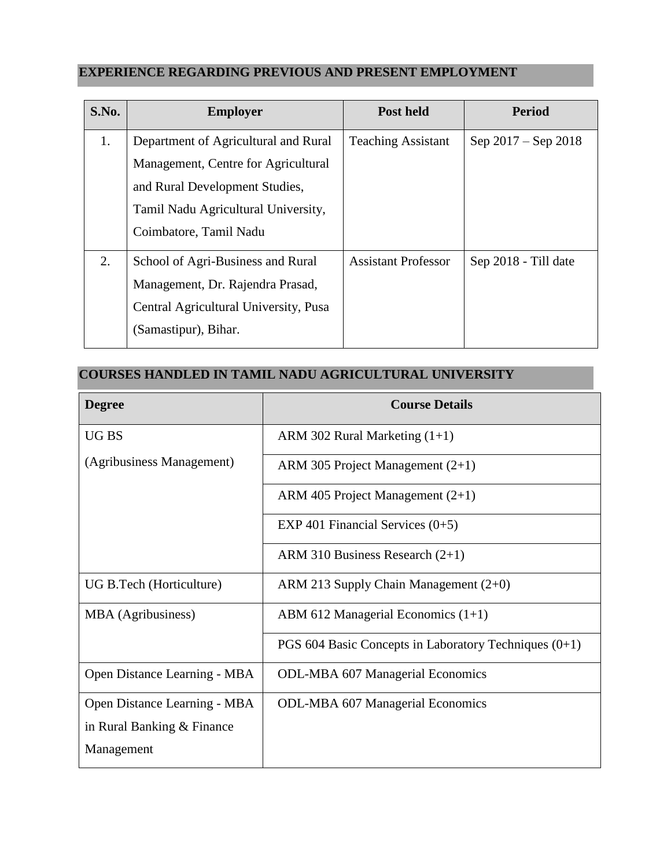# **EXPERIENCE REGARDING PREVIOUS AND PRESENT EMPLOYMENT**

| S.No. | <b>Employer</b>                                                                                                                                                                | Post held                  | <b>Period</b>         |
|-------|--------------------------------------------------------------------------------------------------------------------------------------------------------------------------------|----------------------------|-----------------------|
| 1.    | Department of Agricultural and Rural<br>Management, Centre for Agricultural<br>and Rural Development Studies,<br>Tamil Nadu Agricultural University,<br>Coimbatore, Tamil Nadu | <b>Teaching Assistant</b>  | Sep $2017 -$ Sep 2018 |
| 2.    | School of Agri-Business and Rural<br>Management, Dr. Rajendra Prasad,<br>Central Agricultural University, Pusa<br>(Samastipur), Bihar.                                         | <b>Assistant Professor</b> | Sep 2018 - Till date  |

## **COURSES HANDLED IN TAMIL NADU AGRICULTURAL UNIVERSITY**

| <b>Degree</b>                | <b>Course Details</b>                                   |
|------------------------------|---------------------------------------------------------|
| UG BS                        | ARM 302 Rural Marketing $(1+1)$                         |
| (Agribusiness Management)    | ARM 305 Project Management (2+1)                        |
|                              | ARM 405 Project Management $(2+1)$                      |
|                              | EXP 401 Financial Services $(0+5)$                      |
|                              | ARM 310 Business Research $(2+1)$                       |
| UG B.Tech (Horticulture)     | ARM 213 Supply Chain Management $(2+0)$                 |
| MBA (Agribusiness)           | ABM 612 Managerial Economics $(1+1)$                    |
|                              | PGS 604 Basic Concepts in Laboratory Techniques $(0+1)$ |
| Open Distance Learning - MBA | <b>ODL-MBA 607 Managerial Economics</b>                 |
| Open Distance Learning - MBA | <b>ODL-MBA 607 Managerial Economics</b>                 |
| in Rural Banking & Finance   |                                                         |
| Management                   |                                                         |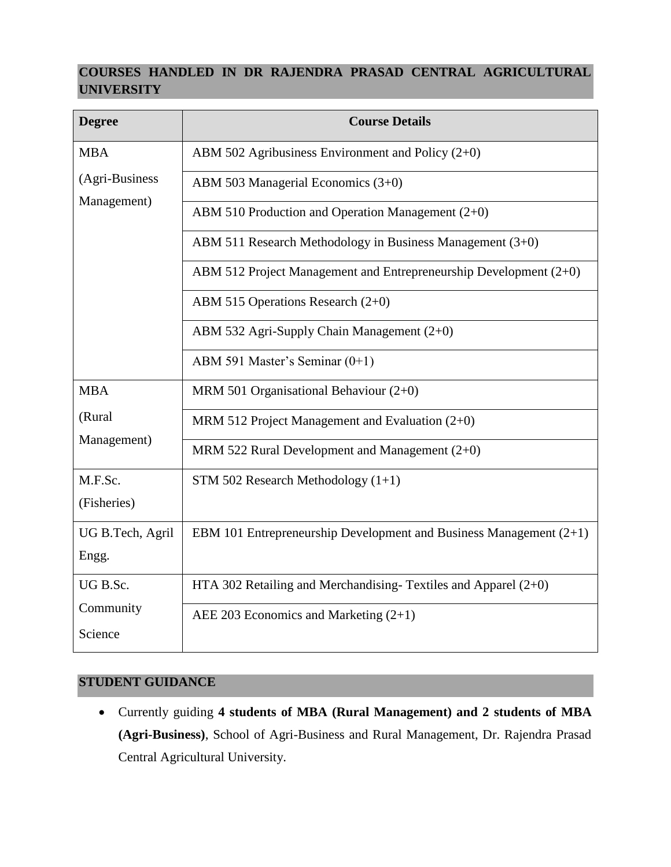## **COURSES HANDLED IN DR RAJENDRA PRASAD CENTRAL AGRICULTURAL UNIVERSITY**

| <b>Degree</b>    | <b>Course Details</b>                                                |
|------------------|----------------------------------------------------------------------|
| <b>MBA</b>       | ABM 502 Agribusiness Environment and Policy $(2+0)$                  |
| (Agri-Business   | ABM 503 Managerial Economics (3+0)                                   |
| Management)      | ABM 510 Production and Operation Management $(2+0)$                  |
|                  | ABM 511 Research Methodology in Business Management (3+0)            |
|                  | ABM 512 Project Management and Entrepreneurship Development $(2+0)$  |
|                  | ABM 515 Operations Research $(2+0)$                                  |
|                  | ABM 532 Agri-Supply Chain Management (2+0)                           |
|                  | ABM 591 Master's Seminar (0+1)                                       |
| <b>MBA</b>       | MRM 501 Organisational Behaviour $(2+0)$                             |
| (Rural           | MRM 512 Project Management and Evaluation $(2+0)$                    |
| Management)      | MRM 522 Rural Development and Management $(2+0)$                     |
| M.F.Sc.          | STM 502 Research Methodology $(1+1)$                                 |
| (Fisheries)      |                                                                      |
| UG B.Tech, Agril | EBM 101 Entrepreneurship Development and Business Management $(2+1)$ |
| Engg.            |                                                                      |
| UG B.Sc.         | HTA 302 Retailing and Merchandising-Textiles and Apparel $(2+0)$     |
| Community        | AEE 203 Economics and Marketing $(2+1)$                              |
| Science          |                                                                      |

## **STUDENT GUIDANCE**

 Currently guiding **4 students of MBA (Rural Management) and 2 students of MBA (Agri-Business)**, School of Agri-Business and Rural Management, Dr. Rajendra Prasad Central Agricultural University.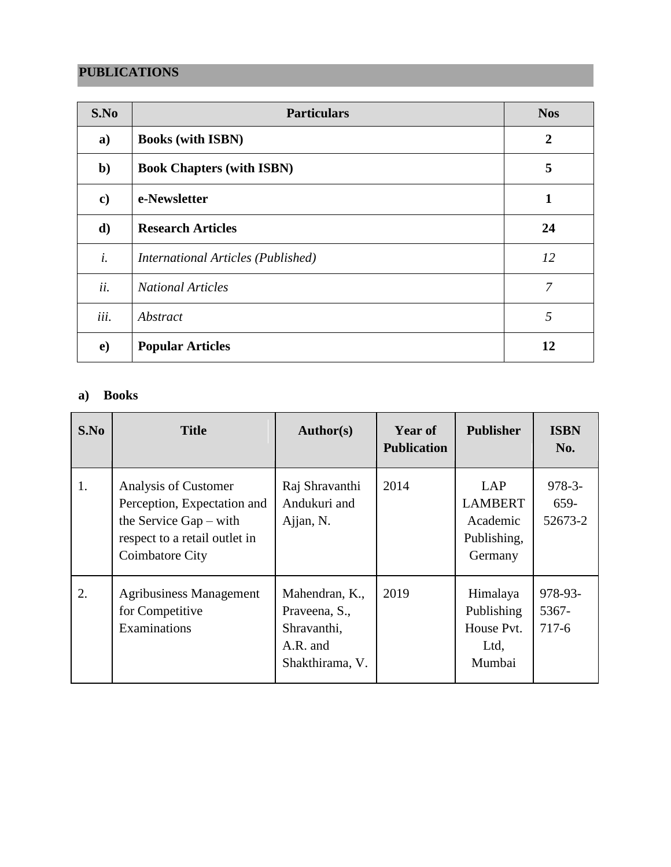## **PUBLICATIONS**

| S.No          | <b>Particulars</b>                 | <b>Nos</b>       |
|---------------|------------------------------------|------------------|
| a)            | <b>Books (with ISBN)</b>           | $\boldsymbol{2}$ |
| $\mathbf{b}$  | <b>Book Chapters (with ISBN)</b>   | 5                |
| $\mathbf{c})$ | e-Newsletter                       | 1                |
| d)            | <b>Research Articles</b>           | 24               |
| i.            | International Articles (Published) | 12               |
| ii.           | <b>National Articles</b>           | 7                |
| iii.          | Abstract                           | 5                |
| $\mathbf{e})$ | <b>Popular Articles</b>            | 12               |

#### **a) Books**

| S.No | <b>Title</b>                                                                                                                        | Author(s)                                                                     | Year of<br><b>Publication</b> | <b>Publisher</b>                                            | <b>ISBN</b><br>No.           |
|------|-------------------------------------------------------------------------------------------------------------------------------------|-------------------------------------------------------------------------------|-------------------------------|-------------------------------------------------------------|------------------------------|
| 1.   | Analysis of Customer<br>Perception, Expectation and<br>the Service Gap $-$ with<br>respect to a retail outlet in<br>Coimbatore City | Raj Shravanthi<br>Andukuri and<br>Ajjan, N.                                   | 2014                          | LAP<br><b>LAMBERT</b><br>Academic<br>Publishing,<br>Germany | $978 - 3$<br>659-<br>52673-2 |
| 2.   | <b>Agribusiness Management</b><br>for Competitive<br>Examinations                                                                   | Mahendran, K.,<br>Praveena, S.,<br>Shravanthi,<br>A.R. and<br>Shakthirama, V. | 2019                          | Himalaya<br>Publishing<br>House Pvt.<br>Ltd,<br>Mumbai      | 978-93-<br>5367-<br>$717-6$  |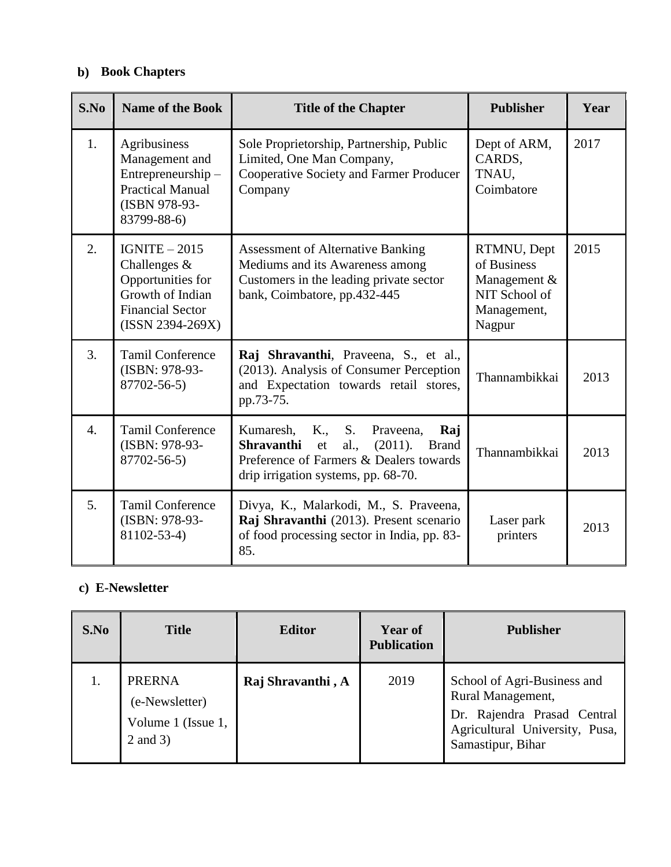## **b) Book Chapters**

| S.No             | <b>Name of the Book</b>                                                                                                   | <b>Title of the Chapter</b>                                                                                                                                                                | <b>Publisher</b>                                                                     | Year |
|------------------|---------------------------------------------------------------------------------------------------------------------------|--------------------------------------------------------------------------------------------------------------------------------------------------------------------------------------------|--------------------------------------------------------------------------------------|------|
| 1.               | Agribusiness<br>Management and<br>Entrepreneurship -<br><b>Practical Manual</b><br>(ISBN 978-93-<br>83799-88-6)           | Sole Proprietorship, Partnership, Public<br>Limited, One Man Company,<br>Cooperative Society and Farmer Producer<br>Company                                                                | Dept of ARM,<br>CARDS,<br>TNAU,<br>Coimbatore                                        | 2017 |
| 2.               | $IGNITE - 2015$<br>Challenges $&$<br>Opportunities for<br>Growth of Indian<br><b>Financial Sector</b><br>(ISSN 2394-269X) | <b>Assessment of Alternative Banking</b><br>Mediums and its Awareness among<br>Customers in the leading private sector<br>bank, Coimbatore, pp.432-445                                     | RTMNU, Dept<br>of Business<br>Management &<br>NIT School of<br>Management,<br>Nagpur | 2015 |
| 3.               | <b>Tamil Conference</b><br>(ISBN: 978-93-<br>87702-56-5)                                                                  | Raj Shravanthi, Praveena, S., et al.,<br>(2013). Analysis of Consumer Perception<br>and Expectation towards retail stores,<br>pp.73-75.                                                    | Thannambikkai                                                                        | 2013 |
| $\overline{4}$ . | <b>Tamil Conference</b><br>(ISBN: 978-93-<br>87702-56-5)                                                                  | S.<br>Kumaresh,<br>K.,<br>Praveena,<br>Raj<br>al.,<br>(2011).<br><b>Shravanthi</b><br><b>Brand</b><br>et<br>Preference of Farmers & Dealers towards<br>drip irrigation systems, pp. 68-70. | Thannambikkai                                                                        | 2013 |
| 5.               | <b>Tamil Conference</b><br>(ISBN: 978-93-<br>81102-53-4)                                                                  | Divya, K., Malarkodi, M., S. Praveena,<br>Raj Shravanthi (2013). Present scenario<br>of food processing sector in India, pp. 83-<br>85.                                                    | Laser park<br>printers                                                               | 2013 |

## **c) E-Newsletter**

| S.No | <b>Title</b>                                                      | <b>Editor</b>     | <b>Year of</b><br><b>Publication</b> | <b>Publisher</b>                                                                                                                       |
|------|-------------------------------------------------------------------|-------------------|--------------------------------------|----------------------------------------------------------------------------------------------------------------------------------------|
| 1.   | <b>PRERNA</b><br>(e-Newsletter)<br>Volume 1 (Issue 1,<br>2 and 3) | Raj Shravanthi, A | 2019                                 | School of Agri-Business and<br>Rural Management,<br>Dr. Rajendra Prasad Central<br>Agricultural University, Pusa,<br>Samastipur, Bihar |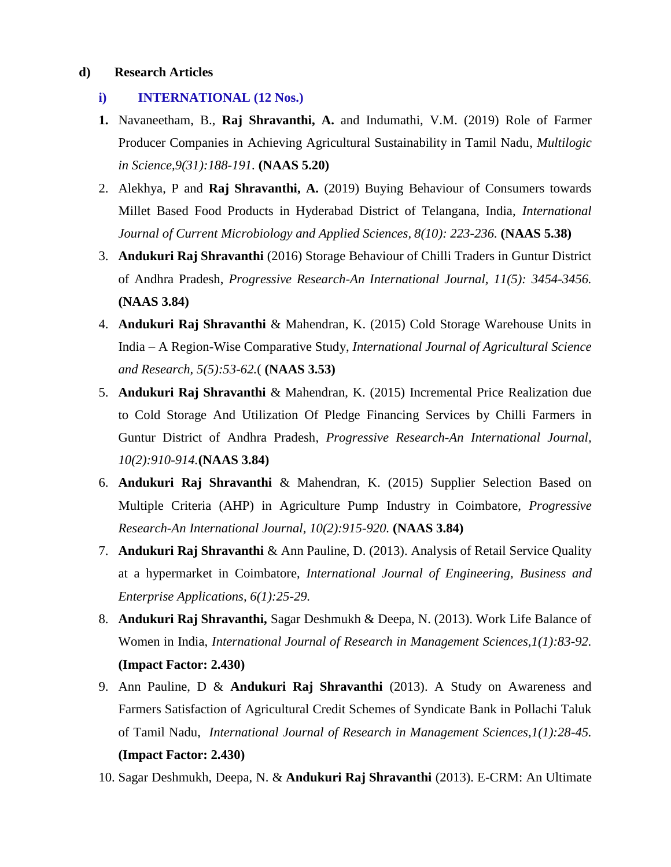#### **d) Research Articles**

- **i) INTERNATIONAL (12 Nos.)**
- **1.** Navaneetham, B., **Raj Shravanthi, A.** and Indumathi, V.M. (2019) Role of Farmer Producer Companies in Achieving Agricultural Sustainability in Tamil Nadu, *Multilogic in Science,9(31):188-191.* **(NAAS 5.20)**
- 2. Alekhya, P and **Raj Shravanthi, A.** (2019) Buying Behaviour of Consumers towards Millet Based Food Products in Hyderabad District of Telangana, India, *International Journal of Current Microbiology and Applied Sciences, 8(10): 223-236.* **(NAAS 5.38)**
- 3. **Andukuri Raj Shravanthi** (2016) Storage Behaviour of Chilli Traders in Guntur District of Andhra Pradesh, *Progressive Research-An International Journal, 11(5): 3454-3456.* **(NAAS 3.84)**
- 4. **Andukuri Raj Shravanthi** & Mahendran, K. (2015) Cold Storage Warehouse Units in India – A Region-Wise Comparative Study, *International Journal of Agricultural Science and Research, 5(5):53-62.*( **(NAAS 3.53)**
- 5. **Andukuri Raj Shravanthi** & Mahendran, K. (2015) Incremental Price Realization due to Cold Storage And Utilization Of Pledge Financing Services by Chilli Farmers in Guntur District of Andhra Pradesh, *Progressive Research-An International Journal, 10(2):910-914.***(NAAS 3.84)**
- 6. **Andukuri Raj Shravanthi** & Mahendran, K. (2015) Supplier Selection Based on Multiple Criteria (AHP) in Agriculture Pump Industry in Coimbatore, *Progressive Research-An International Journal, 10(2):915-920.* **(NAAS 3.84)**
- 7. **Andukuri Raj Shravanthi** & Ann Pauline, D. (2013). Analysis of Retail Service Quality at a hypermarket in Coimbatore, *International Journal of Engineering, Business and Enterprise Applications, 6(1):25-29.*
- 8. **Andukuri Raj Shravanthi,** Sagar Deshmukh & Deepa, N. (2013). Work Life Balance of Women in India, *International Journal of Research in Management Sciences,1(1):83-92.*  **(Impact Factor: 2.430)**
- 9. Ann Pauline, D & **Andukuri Raj Shravanthi** (2013). A Study on Awareness and Farmers Satisfaction of Agricultural Credit Schemes of Syndicate Bank in Pollachi Taluk of Tamil Nadu, *International Journal of Research in Management Sciences,1(1):28-45.* **(Impact Factor: 2.430)**
- 10. Sagar Deshmukh, Deepa, N. & **Andukuri Raj Shravanthi** (2013). E-CRM: An Ultimate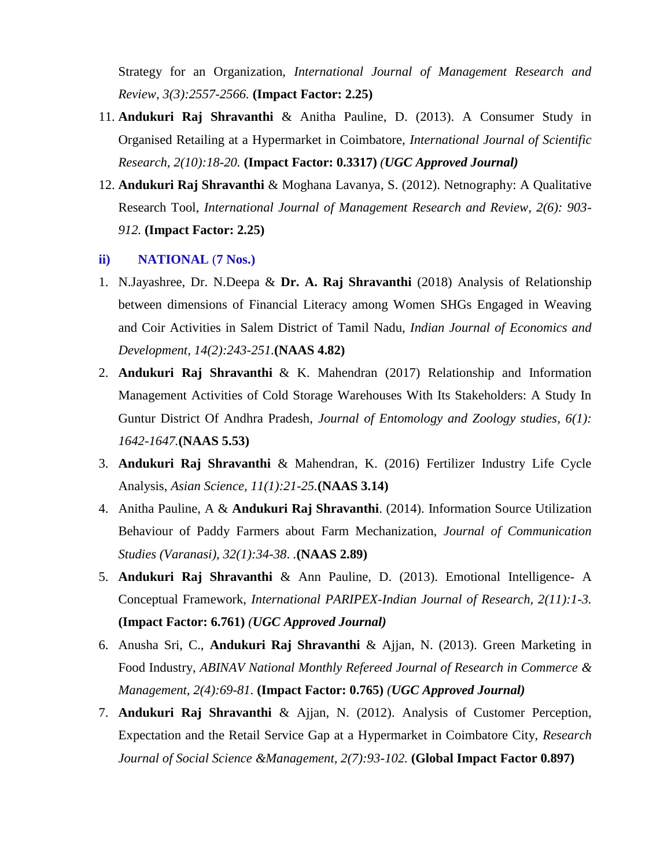Strategy for an Organization, *International Journal of Management Research and Review, 3(3):2557-2566.* **(Impact Factor: 2.25)**

- 11. **Andukuri Raj Shravanthi** & Anitha Pauline, D. (2013). A Consumer Study in Organised Retailing at a Hypermarket in Coimbatore, *International Journal of Scientific Research, 2(10):18-20.* **(Impact Factor: 0.3317)** *(UGC Approved Journal)*
- 12. **Andukuri Raj Shravanthi** & Moghana Lavanya, S. (2012). Netnography: A Qualitative Research Tool, *International Journal of Management Research and Review, 2(6): 903- 912.* **(Impact Factor: 2.25)**
- **ii) NATIONAL** (**7 Nos.)**
- 1. N.Jayashree, Dr. N.Deepa & **Dr. A. Raj Shravanthi** (2018) Analysis of Relationship between dimensions of Financial Literacy among Women SHGs Engaged in Weaving and Coir Activities in Salem District of Tamil Nadu, *Indian Journal of Economics and Development, 14(2):243-251.***(NAAS 4.82)**
- 2. **Andukuri Raj Shravanthi** & K. Mahendran (2017) Relationship and Information Management Activities of Cold Storage Warehouses With Its Stakeholders: A Study In Guntur District Of Andhra Pradesh, *Journal of Entomology and Zoology studies*, *6(1): 1642-1647.***(NAAS 5.53)**
- 3. **Andukuri Raj Shravanthi** & Mahendran, K. (2016) Fertilizer Industry Life Cycle Analysis, *Asian Science, 11(1):21-25.***(NAAS 3.14)**
- 4. Anitha Pauline, A & **Andukuri Raj Shravanthi**. (2014). Information Source Utilization Behaviour of Paddy Farmers about Farm Mechanization, *Journal of Communication Studies (Varanasi), 32(1):34-38*. *.***(NAAS 2.89)**
- 5. **Andukuri Raj Shravanthi** & Ann Pauline, D. (2013). Emotional Intelligence- A Conceptual Framework, *International PARIPEX-Indian Journal of Research, 2(11):1-3.* **(Impact Factor: 6.761)** *(UGC Approved Journal)*
- 6. Anusha Sri, C., **Andukuri Raj Shravanthi** & Ajjan, N. (2013). Green Marketing in Food Industry, *ABINAV National Monthly Refereed Journal of Research in Commerce & Management, 2(4):69-81.* **(Impact Factor: 0.765)** *(UGC Approved Journal)*
- 7. **Andukuri Raj Shravanthi** & Ajjan, N. (2012). Analysis of Customer Perception, Expectation and the Retail Service Gap at a Hypermarket in Coimbatore City, *Research Journal of Social Science &Management, 2(7):93-102.* **(Global Impact Factor 0.897)**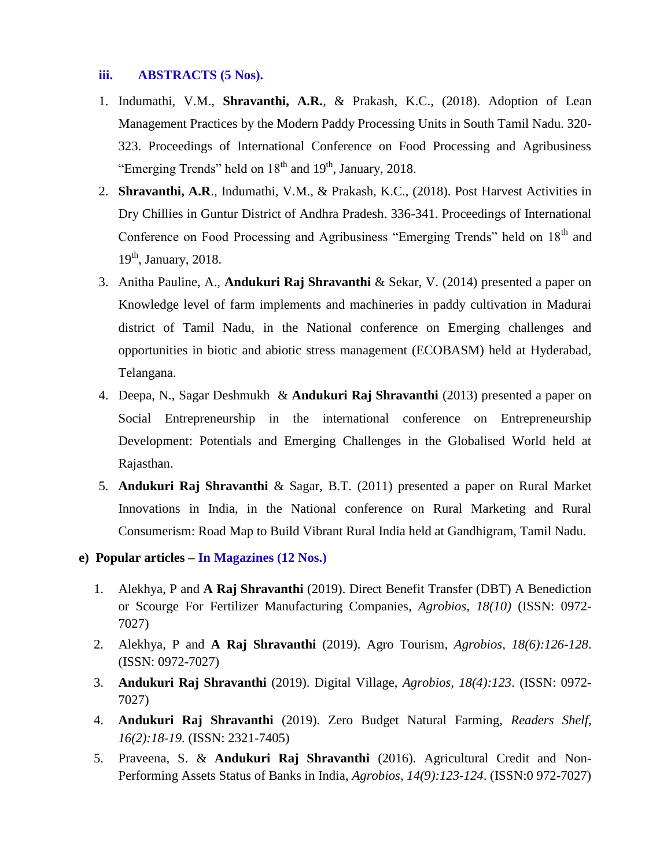#### **iii. ABSTRACTS (5 Nos).**

- 1. Indumathi, V.M., **Shravanthi, A.R.**, & Prakash, K.C., (2018). Adoption of Lean Management Practices by the Modern Paddy Processing Units in South Tamil Nadu. 320- 323. Proceedings of International Conference on Food Processing and Agribusiness "Emerging Trends" held on  $18<sup>th</sup>$  and  $19<sup>th</sup>$ , January, 2018.
- 2. **Shravanthi, A.R**., Indumathi, V.M., & Prakash, K.C., (2018). Post Harvest Activities in Dry Chillies in Guntur District of Andhra Pradesh. 336-341. Proceedings of International Conference on Food Processing and Agribusiness "Emerging Trends" held on 18<sup>th</sup> and  $19<sup>th</sup>$ , January, 2018.
- 3. Anitha Pauline, A., **Andukuri Raj Shravanthi** & Sekar, V. (2014) presented a paper on Knowledge level of farm implements and machineries in paddy cultivation in Madurai district of Tamil Nadu, in the National conference on Emerging challenges and opportunities in biotic and abiotic stress management (ECOBASM) held at Hyderabad, Telangana.
- 4. Deepa, N., Sagar Deshmukh & **Andukuri Raj Shravanthi** (2013) presented a paper on Social Entrepreneurship in the international conference on Entrepreneurship Development: Potentials and Emerging Challenges in the Globalised World held at Rajasthan.
- 5. **Andukuri Raj Shravanthi** & Sagar, B.T. (2011) presented a paper on Rural Market Innovations in India, in the National conference on Rural Marketing and Rural Consumerism: Road Map to Build Vibrant Rural India held at Gandhigram, Tamil Nadu.
- **e) Popular articles – In Magazines (12 Nos.)**
	- 1. Alekhya, P and **A Raj Shravanthi** (2019). Direct Benefit Transfer (DBT) A Benediction or Scourge For Fertilizer Manufacturing Companies, *Agrobios, 18(10)* (ISSN: 0972- 7027)
	- 2. Alekhya, P and **A Raj Shravanthi** (2019). Agro Tourism, *Agrobios, 18(6):126-128*. (ISSN: 0972-7027)
	- 3. **Andukuri Raj Shravanthi** (2019). Digital Village, *Agrobios, 18(4):123*. (ISSN: 0972- 7027)
	- 4. **Andukuri Raj Shravanthi** (2019). Zero Budget Natural Farming, *Readers Shelf, 16(2):18-19*. (ISSN: 2321-7405)
	- 5. Praveena, S. & **Andukuri Raj Shravanthi** (2016). Agricultural Credit and Non-Performing Assets Status of Banks in India, *Agrobios, 14(9):123-124*. (ISSN:0 972-7027)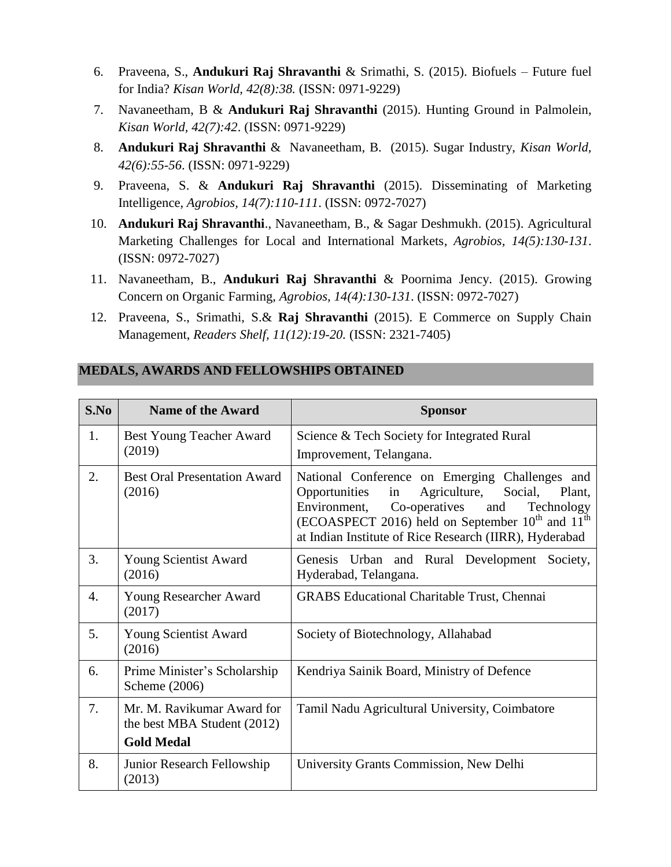- 6. Praveena, S., **Andukuri Raj Shravanthi** & Srimathi, S. (2015). Biofuels Future fuel for India? *Kisan World, 42(8):38.* (ISSN: 0971-9229)
- 7. Navaneetham, B & **Andukuri Raj Shravanthi** (2015). Hunting Ground in Palmolein, *Kisan World, 42(7):42*. (ISSN: 0971-9229)
- 8. **Andukuri Raj Shravanthi** & Navaneetham, B. (2015). Sugar Industry, *Kisan World, 42(6):55-56*. (ISSN: 0971-9229)
- 9. Praveena, S. & **Andukuri Raj Shravanthi** (2015). Disseminating of Marketing Intelligence, *Agrobios, 14(7):110-111*. (ISSN: 0972-7027)
- 10. **Andukuri Raj Shravanthi**., Navaneetham, B., & Sagar Deshmukh. (2015). Agricultural Marketing Challenges for Local and International Markets, *Agrobios, 14(5):130-131*. (ISSN: 0972-7027)
- 11. Navaneetham, B., **Andukuri Raj Shravanthi** & Poornima Jency. (2015). Growing Concern on Organic Farming, *Agrobios, 14(4):130-131*. (ISSN: 0972-7027)
- 12. Praveena, S., Srimathi, S.& **Raj Shravanthi** (2015). E Commerce on Supply Chain Management, *Readers Shelf, 11(12):19-20.* (ISSN: 2321-7405)

| S.No             | <b>Name of the Award</b>                                  | <b>Sponsor</b>                                                                                                                                                                                                                                                                     |  |
|------------------|-----------------------------------------------------------|------------------------------------------------------------------------------------------------------------------------------------------------------------------------------------------------------------------------------------------------------------------------------------|--|
| 1.               | Best Young Teacher Award<br>(2019)                        | Science & Tech Society for Integrated Rural<br>Improvement, Telangana.                                                                                                                                                                                                             |  |
| 2.               | <b>Best Oral Presentation Award</b><br>(2016)             | National Conference on Emerging Challenges and<br>Agriculture,<br>Opportunities<br>in<br>Social,<br>Plant,<br>Environment, Co-operatives and<br>Technology<br>(ECOASPECT 2016) held on September $10^{th}$ and $11^{th}$<br>at Indian Institute of Rice Research (IIRR), Hyderabad |  |
| 3.               | <b>Young Scientist Award</b><br>(2016)                    | Genesis Urban and Rural Development Society,<br>Hyderabad, Telangana.                                                                                                                                                                                                              |  |
| $\overline{4}$ . | Young Researcher Award<br>(2017)                          | <b>GRABS</b> Educational Charitable Trust, Chennai                                                                                                                                                                                                                                 |  |
| 5.               | <b>Young Scientist Award</b><br>(2016)                    | Society of Biotechnology, Allahabad                                                                                                                                                                                                                                                |  |
| 6.               | Prime Minister's Scholarship<br>Scheme (2006)             | Kendriya Sainik Board, Ministry of Defence                                                                                                                                                                                                                                         |  |
| 7.               | Mr. M. Ravikumar Award for<br>the best MBA Student (2012) | Tamil Nadu Agricultural University, Coimbatore                                                                                                                                                                                                                                     |  |
|                  | <b>Gold Medal</b>                                         |                                                                                                                                                                                                                                                                                    |  |
| 8.               | Junior Research Fellowship<br>(2013)                      | University Grants Commission, New Delhi                                                                                                                                                                                                                                            |  |

#### **MEDALS, AWARDS AND FELLOWSHIPS OBTAINED**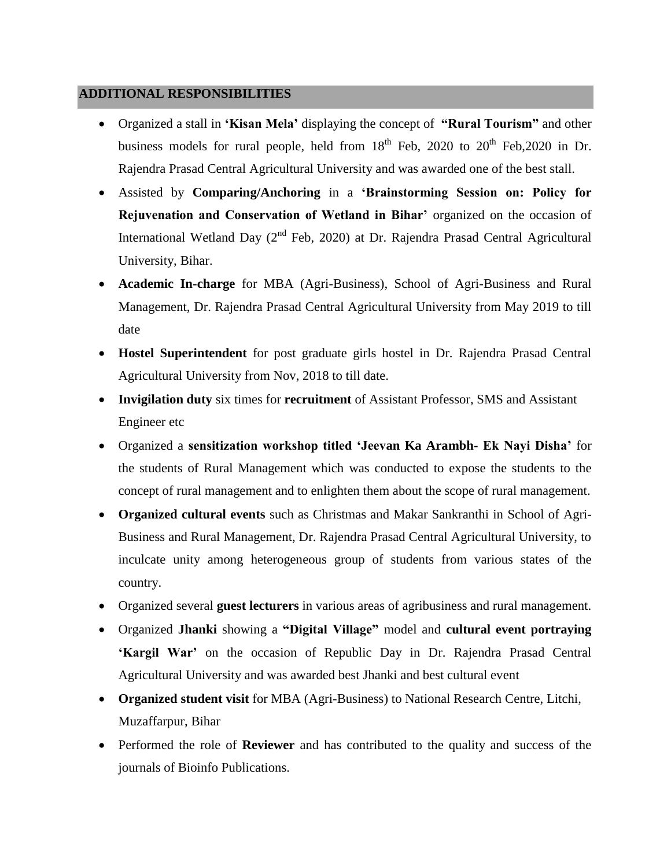### **ADDITIONAL RESPONSIBILITIES**

- Organized a stall in **"Kisan Mela"** displaying the concept of **"Rural Tourism"** and other business models for rural people, held from  $18<sup>th</sup>$  Feb, 2020 to  $20<sup>th</sup>$  Feb, 2020 in Dr. Rajendra Prasad Central Agricultural University and was awarded one of the best stall.
- Assisted by **Comparing/Anchoring** in a **"Brainstorming Session on: Policy for Rejuvenation and Conservation of Wetland in Bihar'** organized on the occasion of International Wetland Day (2<sup>nd</sup> Feb, 2020) at Dr. Rajendra Prasad Central Agricultural University, Bihar.
- **Academic In-charge** for MBA (Agri-Business), School of Agri-Business and Rural Management, Dr. Rajendra Prasad Central Agricultural University from May 2019 to till date
- **Hostel Superintendent** for post graduate girls hostel in Dr. Rajendra Prasad Central Agricultural University from Nov, 2018 to till date.
- **Invigilation duty** six times for **recruitment** of Assistant Professor, SMS and Assistant Engineer etc
- Organized a **sensitization workshop titled "Jeevan Ka Arambh- Ek Nayi Disha"** for the students of Rural Management which was conducted to expose the students to the concept of rural management and to enlighten them about the scope of rural management.
- **Organized cultural events** such as Christmas and Makar Sankranthi in School of Agri-Business and Rural Management, Dr. Rajendra Prasad Central Agricultural University, to inculcate unity among heterogeneous group of students from various states of the country.
- Organized several **guest lecturers** in various areas of agribusiness and rural management.
- Organized **Jhanki** showing a **"Digital Village"** model and **cultural event portraying "Kargil War"** on the occasion of Republic Day in Dr. Rajendra Prasad Central Agricultural University and was awarded best Jhanki and best cultural event
- **Organized student visit** for MBA (Agri-Business) to National Research Centre, Litchi, Muzaffarpur, Bihar
- Performed the role of **Reviewer** and has contributed to the quality and success of the journals of Bioinfo Publications.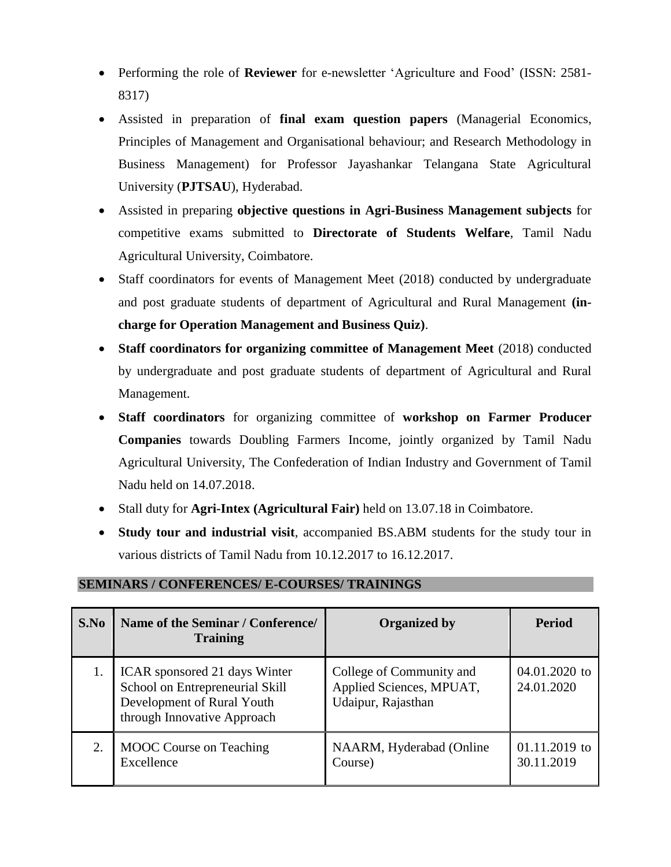- Performing the role of **Reviewer** for e-newsletter "Agriculture and Food" (ISSN: 2581- 8317)
- Assisted in preparation of **final exam question papers** (Managerial Economics, Principles of Management and Organisational behaviour; and Research Methodology in Business Management) for Professor Jayashankar Telangana State Agricultural University (**PJTSAU**), Hyderabad.
- Assisted in preparing **objective questions in Agri-Business Management subjects** for competitive exams submitted to **Directorate of Students Welfare**, Tamil Nadu Agricultural University, Coimbatore.
- Staff coordinators for events of Management Meet (2018) conducted by undergraduate and post graduate students of department of Agricultural and Rural Management **(incharge for Operation Management and Business Quiz)**.
- **Staff coordinators for organizing committee of Management Meet** (2018) conducted by undergraduate and post graduate students of department of Agricultural and Rural Management.
- **Staff coordinators** for organizing committee of **workshop on Farmer Producer Companies** towards Doubling Farmers Income, jointly organized by Tamil Nadu Agricultural University, The Confederation of Indian Industry and Government of Tamil Nadu held on 14.07.2018.
- Stall duty for **Agri-Intex (Agricultural Fair)** held on 13.07.18 in Coimbatore.
- **Study tour and industrial visit**, accompanied BS.ABM students for the study tour in various districts of Tamil Nadu from 10.12.2017 to 16.12.2017.

| <b>SEMINARS / CONFERENCES/ E-COURSES/ TRAININGS</b> |  |
|-----------------------------------------------------|--|
|                                                     |  |

| S.No | Name of the Seminar / Conference/<br><b>Training</b>                                                                          | <b>Organized by</b>                                                        | <b>Period</b>                 |
|------|-------------------------------------------------------------------------------------------------------------------------------|----------------------------------------------------------------------------|-------------------------------|
|      | ICAR sponsored 21 days Winter<br>School on Entrepreneurial Skill<br>Development of Rural Youth<br>through Innovative Approach | College of Community and<br>Applied Sciences, MPUAT,<br>Udaipur, Rajasthan | 04.01.2020 to<br>24.01.2020   |
| 2.   | <b>MOOC</b> Course on Teaching<br>Excellence                                                                                  | NAARM, Hyderabad (Online<br>Course)                                        | $01.11.2019$ to<br>30.11.2019 |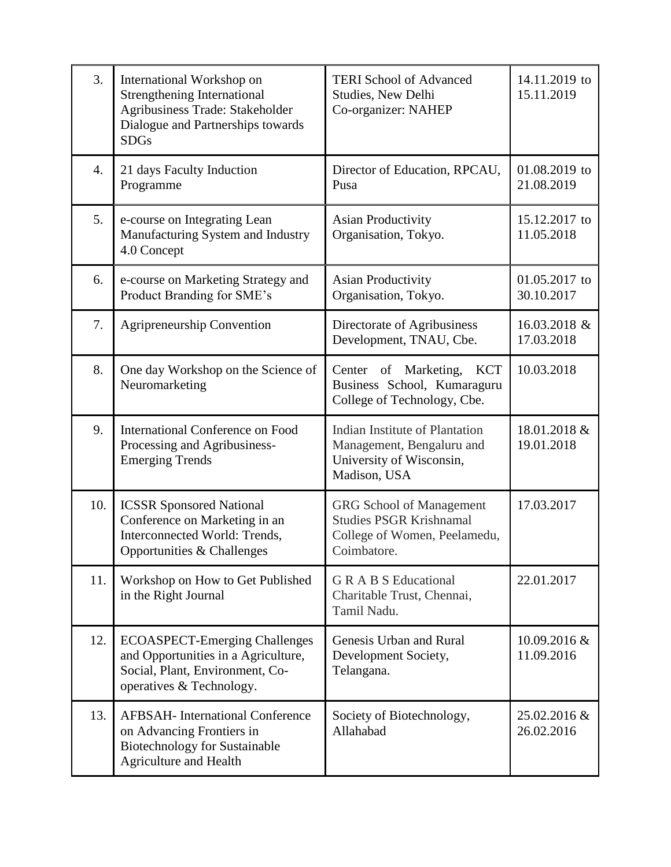| 3.               | International Workshop on<br><b>Strengthening International</b><br>Agribusiness Trade: Stakeholder<br>Dialogue and Partnerships towards<br><b>SDGs</b> | <b>TERI School of Advanced</b><br>Studies, New Delhi<br>Co-organizer: NAHEP                                      | 14.11.2019 to<br>15.11.2019 |
|------------------|--------------------------------------------------------------------------------------------------------------------------------------------------------|------------------------------------------------------------------------------------------------------------------|-----------------------------|
| $\overline{4}$ . | 21 days Faculty Induction<br>Programme                                                                                                                 | Director of Education, RPCAU,<br>Pusa                                                                            | 01.08.2019 to<br>21.08.2019 |
| 5.               | e-course on Integrating Lean<br>Manufacturing System and Industry<br>4.0 Concept                                                                       | <b>Asian Productivity</b><br>Organisation, Tokyo.                                                                | 15.12.2017 to<br>11.05.2018 |
| 6.               | e-course on Marketing Strategy and<br>Product Branding for SME's                                                                                       | <b>Asian Productivity</b><br>Organisation, Tokyo.                                                                | 01.05.2017 to<br>30.10.2017 |
| 7.               | <b>Agripreneurship Convention</b>                                                                                                                      | Directorate of Agribusiness<br>Development, TNAU, Cbe.                                                           | 16.03.2018 &<br>17.03.2018  |
| 8.               | One day Workshop on the Science of<br>Neuromarketing                                                                                                   | Center of Marketing, KCT<br>Business School, Kumaraguru<br>College of Technology, Cbe.                           | 10.03.2018                  |
| 9.               | <b>International Conference on Food</b><br>Processing and Agribusiness-<br><b>Emerging Trends</b>                                                      | Indian Institute of Plantation<br>Management, Bengaluru and<br>University of Wisconsin,<br>Madison, USA          | 18.01.2018 &<br>19.01.2018  |
| 10.              | <b>ICSSR Sponsored National</b><br>Conference on Marketing in an<br>Interconnected World: Trends,<br>Opportunities & Challenges                        | <b>GRG</b> School of Management<br><b>Studies PSGR Krishnamal</b><br>College of Women, Peelamedu,<br>Coimbatore. | 17.03.2017                  |
| 11.              | Workshop on How to Get Published<br>in the Right Journal                                                                                               | <b>GRABS</b> Educational<br>Charitable Trust, Chennai,<br>Tamil Nadu.                                            | 22.01.2017                  |
| 12.              | <b>ECOASPECT-Emerging Challenges</b><br>and Opportunities in a Agriculture,<br>Social, Plant, Environment, Co-<br>operatives & Technology.             | Genesis Urban and Rural<br>Development Society,<br>Telangana.                                                    | 10.09.2016 &<br>11.09.2016  |
| 13.              | <b>AFBSAH-</b> International Conference<br>on Advancing Frontiers in<br><b>Biotechnology for Sustainable</b><br>Agriculture and Health                 | Society of Biotechnology,<br>Allahabad                                                                           | 25.02.2016 &<br>26.02.2016  |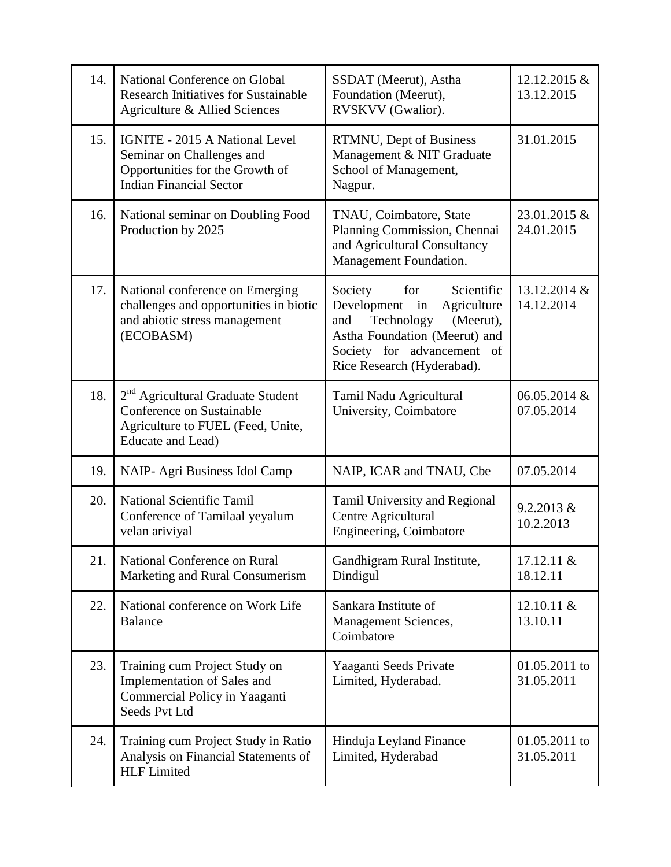| 14. | National Conference on Global<br><b>Research Initiatives for Sustainable</b><br>Agriculture & Allied Sciences                           | SSDAT (Meerut), Astha<br>Foundation (Meerut),<br>RVSKVV (Gwalior).                                                                                                                           | 12.12.2015 &<br>13.12.2015  |
|-----|-----------------------------------------------------------------------------------------------------------------------------------------|----------------------------------------------------------------------------------------------------------------------------------------------------------------------------------------------|-----------------------------|
| 15. | <b>IGNITE - 2015 A National Level</b><br>Seminar on Challenges and<br>Opportunities for the Growth of<br><b>Indian Financial Sector</b> | RTMNU, Dept of Business<br>Management & NIT Graduate<br>School of Management,<br>Nagpur.                                                                                                     | 31.01.2015                  |
| 16. | National seminar on Doubling Food<br>Production by 2025                                                                                 | TNAU, Coimbatore, State<br>Planning Commission, Chennai<br>and Agricultural Consultancy<br>Management Foundation.                                                                            | 23.01.2015 &<br>24.01.2015  |
| 17. | National conference on Emerging<br>challenges and opportunities in biotic<br>and abiotic stress management<br>(ECOBASM)                 | for<br>Scientific<br>Society<br>Development in<br>Agriculture<br>Technology<br>(Meerut),<br>and<br>Astha Foundation (Meerut) and<br>Society for advancement of<br>Rice Research (Hyderabad). | 13.12.2014 &<br>14.12.2014  |
| 18. | 2 <sup>nd</sup> Agricultural Graduate Student<br>Conference on Sustainable<br>Agriculture to FUEL (Feed, Unite,<br>Educate and Lead)    | Tamil Nadu Agricultural<br>University, Coimbatore                                                                                                                                            | 06.05.2014 &<br>07.05.2014  |
| 19. | NAIP- Agri Business Idol Camp                                                                                                           | NAIP, ICAR and TNAU, Cbe                                                                                                                                                                     | 07.05.2014                  |
| 20. | <b>National Scientific Tamil</b><br>Conference of Tamilaal yeyalum<br>velan ariviyal                                                    | Tamil University and Regional<br>Centre Agricultural<br>Engineering, Coimbatore                                                                                                              | 9.2.2013 &<br>10.2.2013     |
| 21. | National Conference on Rural<br>Marketing and Rural Consumerism                                                                         | Gandhigram Rural Institute,<br>Dindigul                                                                                                                                                      | 17.12.11 &<br>18.12.11      |
| 22. | National conference on Work Life<br><b>Balance</b>                                                                                      | Sankara Institute of<br>Management Sciences,<br>Coimbatore                                                                                                                                   | 12.10.11 &<br>13.10.11      |
| 23. | Training cum Project Study on<br>Implementation of Sales and<br>Commercial Policy in Yaaganti<br>Seeds Pvt Ltd                          | Yaaganti Seeds Private<br>Limited, Hyderabad.                                                                                                                                                | 01.05.2011 to<br>31.05.2011 |
| 24. | Training cum Project Study in Ratio<br>Analysis on Financial Statements of<br><b>HLF</b> Limited                                        | Hinduja Leyland Finance<br>Limited, Hyderabad                                                                                                                                                | 01.05.2011 to<br>31.05.2011 |